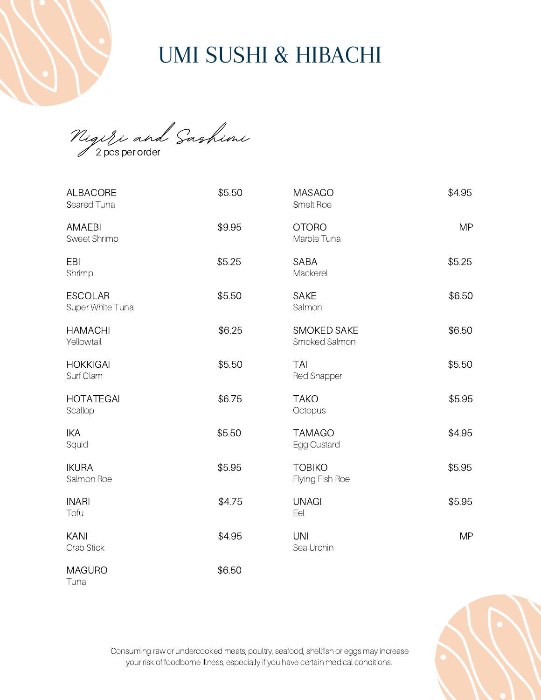Nigiri and Sashimi 2 pcs per order

Tuna

| <b>ALBACORE</b><br>Seared Tuna       | \$5.50 | <b>MASAGO</b><br>Smelt Roe          | \$4.95    |
|--------------------------------------|--------|-------------------------------------|-----------|
| <b>AMAEBI</b><br><b>Sweet Shrimp</b> | \$9.95 | <b>OTORO</b><br>Marble Tuna         | <b>MP</b> |
| EBI<br>Shrimp                        | \$5.25 | <b>SABA</b><br>Mackerel             | \$5.25    |
| <b>ESCOLAR</b><br>Super White Tuna   | \$5.50 | <b>SAKE</b><br>Salmon               | \$6.50    |
| <b>HAMACHI</b><br>Yellowtail         | \$6.25 | <b>SMOKED SAKE</b><br>Smoked Salmon | \$6.50    |
| <b>HOKKIGAI</b><br>Surf Clam         | \$5.50 | <b>TAI</b><br><b>Red Snapper</b>    | \$5.50    |
| <b>HOTATEGAI</b><br>Scallop          | \$6.75 | <b>TAKO</b><br>Octopus              | \$5.95    |
| <b>IKA</b><br>Squid                  | \$5.50 | <b>TAMAGO</b><br>Egg Custard        | \$4.95    |
| <b>IKURA</b><br>Salmon Roe           | \$5.95 | <b>TOBIKO</b><br>Flying Fish Roe    | \$5.95    |
| <b>INARI</b><br>Tofu                 | \$4.75 | <b>UNAGI</b><br>Eel                 | \$5.95    |
| <b>KANI</b><br>Crab Stick            | \$4.95 | <b>UNI</b><br>Sea Urchin            | <b>MP</b> |
| <b>MAGURO</b>                        | \$6.50 |                                     |           |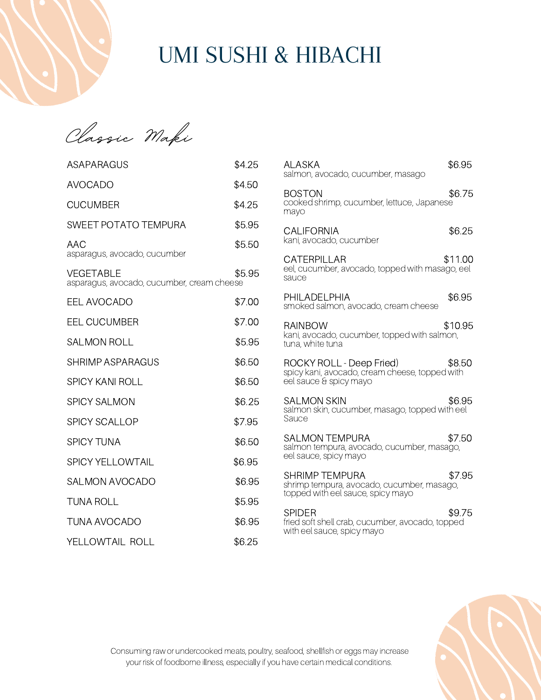

| gic Maki<br>'H a                                        |        |
|---------------------------------------------------------|--------|
| ASAPARAGUS                                              | \$4.25 |
| <b>AVOCADO</b>                                          | \$4.50 |
| <b>CUCUMBER</b>                                         | \$4.25 |
| <b>SWEET POTATO TEMPURA</b>                             | \$5.95 |
| AAC<br>asparagus, avocado, cucumber                     | \$5.50 |
| VEGETABLE<br>asparagus, avocado, cucumber, cream cheese | \$5.95 |
| <b>EEL AVOCADO</b>                                      | \$7.00 |
| <b>EEL CUCUMBER</b>                                     | \$7.00 |
| <b>SALMON ROLL</b>                                      | \$5.95 |
| SHRIMP ASPARAGUS                                        | \$6.50 |
| <b>SPICY KANI ROLL</b>                                  | \$6.50 |
| <b>SPICY SALMON</b>                                     | \$6.25 |
| <b>SPICY SCALLOP</b>                                    | \$7.95 |
| <b>SPICY TUNA</b>                                       | \$6.50 |
| <b>SPICY YELLOWTAIL</b>                                 | \$6.95 |
| <b>SALMON AVOCADO</b>                                   | \$6.95 |
| TUNA ROLL                                               | \$5.95 |
| <b>TUNA AVOCADO</b>                                     | \$6.95 |

YELLOWTAIL ROLL \$6.25

| ALASKA<br>salmon, avocado, cucumber, masago                                                              | \$6.95  |
|----------------------------------------------------------------------------------------------------------|---------|
| <b>BOSTON</b><br>cooked shrimp, cucumber, lettuce, Japanese<br>mayo                                      | \$6.75  |
| <b>CALIFORNIA</b><br>kani, avocado, cucumber                                                             | \$6.25  |
| CATERPILLAR<br>eel, cucumber, avocado, topped with masago, eel<br>sauce                                  | \$11.00 |
| PHILADELPHIA<br>smoked salmon, avocado, cream cheese                                                     | \$6.95  |
| <b>RAINBOW</b><br>kani, avocado, cucumber, topped with salmon,<br>tuna, white tuna                       | \$10.95 |
| ROCKY ROLL - Deep Fried)<br>spicy kani, avocado, cream cheese, topped with<br>eel sauce & spicy mayo     | \$8.50  |
| <b>SALMON SKIN</b><br>salmon skin, cucumber, masago, topped with eel<br>Sauce                            | \$6.95  |
| <b>SALMON TEMPURA</b><br>salmon tempura, avocado, cucumber, masago,<br>eel sauce, spicy mayo             | \$7.50  |
| <b>SHRIMP TEMPURA</b><br>shrimp tempura, avocado, cucumber, masago,<br>topped with eel sauce, spicy mayo | \$7.95  |
| <b>SPIDER</b><br>fried soft shell crab, cucumber, avocado, topped<br>with eel sauce, spicy mayo          | \$9.75  |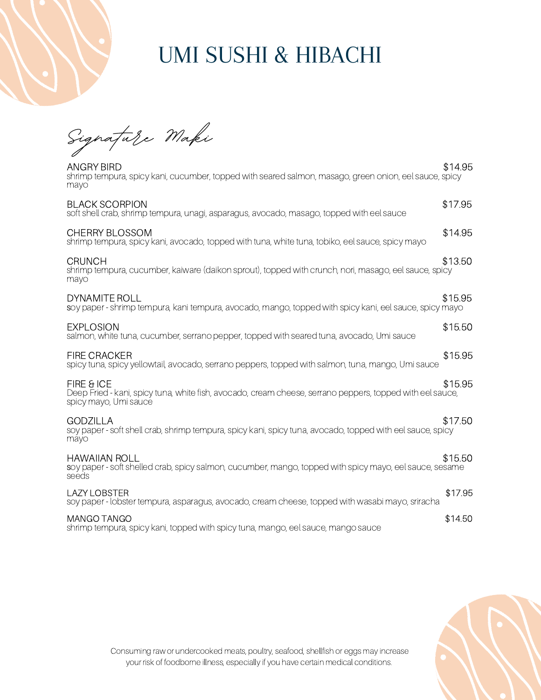Signature Maki

| ANGRY BIRD<br>shrimp tempura, spicy kani, cucumber, topped with seared salmon, masago, green onion, eel sauce, spicy<br>mayo                     | \$14.95 |
|--------------------------------------------------------------------------------------------------------------------------------------------------|---------|
| <b>BLACK SCORPION</b><br>soft shell crab, shrimp tempura, unagi, asparagus, avocado, masago, topped with eel sauce                               | \$17.95 |
| <b>CHERRY BLOSSOM</b><br>shrimp tempura, spicy kani, avocado, topped with tuna, white tuna, tobiko, eel sauce, spicy mayo                        | \$14.95 |
| <b>CRUNCH</b><br>shrimp tempura, cucumber, kaiware (daikon sprout), topped with crunch, nori, masago, eel sauce, spicy<br>mayo                   | \$13.50 |
| DYNAMITE ROLL<br>soy paper - shrimp tempura, kani tempura, avocado, mango, topped with spicy kani, eel sauce, spicy mayo                         | \$15.95 |
| <b>EXPLOSION</b><br>salmon, white tuna, cucumber, serrano pepper, topped with seared tuna, avocado, Umi sauce                                    | \$15.50 |
| <b>FIRE CRACKER</b><br>spicy tuna, spicy yellowtail, avocado, serrano peppers, topped with salmon, tuna, mango, Umi sauce                        | \$15.95 |
| FIRE & ICE<br>Deep Fried - kani, spicy tuna, white fish, avocado, cream cheese, serrano peppers, topped with eel sauce,<br>spicy mayo, Umi sauce | \$15.95 |
| <b>GODZILLA</b><br>soy paper - soft shell crab, shrimp tempura, spicy kani, spicy tuna, avocado, topped with eel sauce, spicy<br>mayo            | \$17.50 |
| <b>HAWAIIAN ROLL</b><br>soy paper - soft shelled crab, spicy salmon, cucumber, mango, topped with spicy mayo, eel sauce, sesame<br>seeds         | \$15.50 |
| <b>LAZY LOBSTER</b><br>soy paper - lobster tempura, asparagus, avocado, cream cheese, topped with wasabi mayo, sriracha                          | \$17.95 |
| MANGO TANGO<br>shrimp tempura, spicy kani, topped with spicy tuna, mango, eel sauce, mango sauce                                                 | \$14.50 |

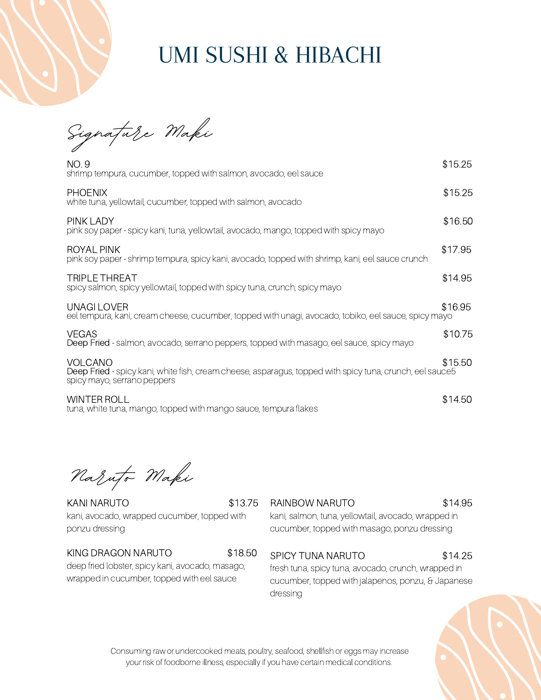Signature Maki

| NO.9<br>shrimp tempura, cucumber, topped with salmon, avocado, eel sauce                                                                           | \$15.25 |
|----------------------------------------------------------------------------------------------------------------------------------------------------|---------|
| <b>PHOENIX</b><br>white tuna, yellowtail, cucumber, topped with salmon, avocado                                                                    | \$15.25 |
| PINK LADY<br>pink soy paper - spicy kani, tuna, yellowtail, avocado, mango, topped with spicy mayo                                                 | \$16.50 |
| ROYAL PINK<br>pink soy paper - shrimp tempura, spicy kani, avocado, topped with shrimp, kani, eel sauce crunch                                     | \$17.95 |
| <b>TRIPLE THREAT</b><br>spicy salmon, spicy yellowtail, topped with spicy tuna, crunch, spicy mayo                                                 | \$14.95 |
| UNAGH OVER<br>eel tempura, kani, cream cheese, cucumber, topped with unagi, avocado, tobiko, eel sauce, spicy mayo                                 | \$16.95 |
| <b>VEGAS</b><br>Deep Fried - salmon, avocado, serrano peppers, topped with masago, eel sauce, spicy mayo                                           | \$10.75 |
| VOLCANO<br>Deep Fried - spicy kani, white fish, cream cheese, asparagus, topped with spicy tuna, crunch, eel sauce5<br>spicy mayo, serrano peppers | \$15.50 |
| <b>WINTER ROLL</b><br>tuna, white tuna, mango, topped with mango sauce, tempura flakes                                                             | \$14.50 |

Naruto Maki

KANI NARUTO \$13.75 kani, avocado, wrapped cucumber, topped with ponzu dressing

#### KING DRAGON NARUTO \$18.50

deep fried lobster, spicy kani, avocado, masago, wrapped in cucumber, topped with eel sauce

#### RAINBOW NARUTO \$14.95

kani, salmon, tuna, yellowtail, avocado, wrapped in cucumber, topped with masago, ponzu dressing

### SPICY TUNA NARUTO \$14.25

fresh tuna, spicy tuna, avocado, crunch, wrapped in cucumber, topped with jalapenos, ponzu, & Japanese dressing